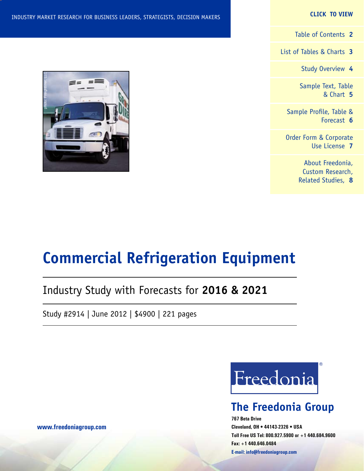### **CLICK TO VIEW**

[Table of Contents](#page-1-0) **2**

[List of Tables & Charts](#page-2-0) **3**

[Study Overview](#page-3-0) **4**

[Sample Text, Table](#page-4-0) [& Chart](#page-4-0) **5**

[Sample Profile, Table &](#page-5-0) [Forecast](#page-5-0) **6**

[Order Form & Corporate](#page-6-0) [Use License](#page-6-0) **7**

> [About Freedonia,](#page-7-0) [Custom Research,](#page-7-0) [Related Studies,](#page-7-0) **8**

### INDUSTRY MARKET RESEARCH FOR BUSINESS LEADERS, STRATEGISTS, DECISION MAKERS

## Industry Study with Forecasts for **2016 & 2021**

Study #2914 | June 2012 | \$4900 | 221 pages



## **The Freedonia Group**

**767 Beta Drive Cleveland, OH • 44143-2326 • USA Toll Free US Tel: 800.927.5900 or +1 440.684.9600 Fax: +1 440.646.0484 E-mail: [info@freedoniagroup.com](mailto:info@freedoniagroup.com)**



**[www.freedoniagroup.com](http://www.freedoniagroup.com/Home.aspx?ReferrerId=FM-Bro)**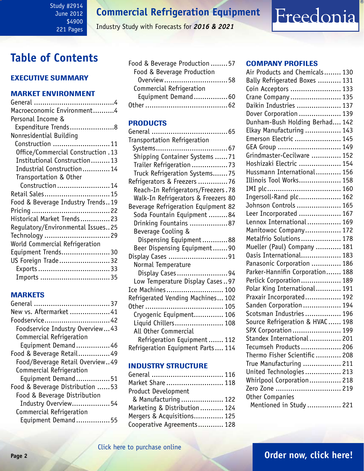### <span id="page-1-0"></span>Study #2914 June 2012 \$4900 221 Pages

## **Commercial Refrigeration Equipment**

Industry Study with Forecasts for *2016 & 2021*

## **Table of Contents**

## Executive Summary

## Market EnvironmenT

| Macroeconomic Environment4            |
|---------------------------------------|
| Personal Income &                     |
| Expenditure Trends8                   |
| Nonresidential Building               |
| Construction  11                      |
| 0ffice/Commercial Construction . 13   |
| Institutional Construction 13         |
| Industrial Construction 14            |
| Transportation & Other                |
| Construction  14                      |
| Retail Sales 15                       |
| Food & Beverage Industry Trends19     |
|                                       |
| Historical Market Trends23            |
| Regulatory/Environmental Issues25     |
| Technology 29                         |
| <b>World Commercial Refrigeration</b> |
| Equipment Trends30                    |
| US Foreign Trade32                    |
| Exports33                             |
|                                       |
| Imports 35                            |

## **MARKETS**

| New vs. Aftermarket 41          |
|---------------------------------|
| Foodservice 42                  |
| Foodservice Industry Overview43 |
| Commercial Refrigeration        |
| Equipment Demand46              |
| Food & Beverage Retail49        |
| Food/Beverage Retail Overview49 |
| Commercial Refrigeration        |
| Equipment Demand51              |
| Food & Beverage Distribution 53 |
| Food & Beverage Distribution    |
| Industry Overview54             |
| Commercial Refrigeration        |
| Equipment Demand55              |
|                                 |

| Food & Beverage Production  57 |  |
|--------------------------------|--|
| Food & Beverage Production     |  |
| 0verview58                     |  |
| Commercial Refrigeration       |  |
| Equipment Demand60             |  |
|                                |  |
|                                |  |

## PRODUCTS

| Transportation Refrigeration        |
|-------------------------------------|
|                                     |
| Shipping Container Systems 71       |
| Trailer Refrigeration 73            |
|                                     |
| Truck Refrigeration Systems75       |
| Refrigerators & Freezers 76         |
| Reach-In Refrigerators/Freezers.78  |
| Walk-In Refrigerators & Freezers 80 |
| Beverage Refrigeration Equipment 82 |
| Soda Fountain Equipment 84          |
| Drinking Fountains 87               |
| Beverage Cooling &                  |
| Dispensing Equipment88              |
| Beer Dispensing Equipment90         |
| Display Cases 91                    |
| Normal Temperature                  |
| Display Cases94                     |
| Low Temperature Display Cases97     |
| Ice Machines  100                   |
| Refrigerated Vending Machines 102   |
|                                     |
| Cryogenic Equipment 106             |
| Liquid Chillers 108                 |
|                                     |
| All Other Commercial                |
| Refrigeration Equipment 112         |
| Refrigeration Equipment Parts 114   |

## INDUSTRY STRUCTURE

| General  116                 |  |
|------------------------------|--|
| Market Share  118            |  |
| <b>Product Development</b>   |  |
| & Manufacturing  122         |  |
| Marketing & Distribution 124 |  |
| Mergers & Acquisitions 125   |  |
| Cooperative Agreements 128   |  |
|                              |  |

### Company Profiles

Freedonia

| Air Products and Chemicals 130                         |
|--------------------------------------------------------|
|                                                        |
| Bally Refrigerated Boxes  131                          |
| Coin Acceptors  133                                    |
| Crane Company  135                                     |
| Daikin Industries  137                                 |
| Dover Corporation  139                                 |
| Dunham-Bush Holding Berhad 142                         |
| Elkay Manufacturing  143                               |
| Emerson Electric  145                                  |
| GEA Group  149                                         |
| Grindmaster-Cecilware  152                             |
| Hoshizaki Electric  154                                |
| Hussmann International 156                             |
| Illinois Tool Works 158                                |
|                                                        |
| Ingersoll-Rand plc 162                                 |
| Johnson Controls  165                                  |
| Leer Incorporated  167                                 |
| Lennox International  169                              |
| Manitowoc Company 172                                  |
| Metalfrio Solutions 178                                |
|                                                        |
| Mueller (Paul) Company  181<br>Oasis International 183 |
|                                                        |
| Panasonic Corporation  186                             |
| Parker-Hannifin Corporation 188                        |
| Perlick Corporation 189                                |
| Polar King International 191                           |
| Praxair Incorporated 192                               |
| Sanden Corporation  194                                |
| Scotsman Industries  196                               |
| Source Refrigeration & HVAC  198                       |
| SPX Corporation  199                                   |
| Standex International 201                              |
| Tecumseh Products  206                                 |
| Thermo Fisher Scientific  208                          |
| True Manufacturing  211                                |
| United Technologies 213                                |
| Whirlpool Corporation 218                              |
| Zero Zone  219                                         |
| Other Companies                                        |
| Mentioned in Study  221                                |
|                                                        |

## **Page 2 [Order now, click here!](#page-6-0)**

## [Click here to purchase online](http://www.freedoniagroup.com/DocumentDetails.aspx?Referrerid=FM-Bro&StudyID=2914)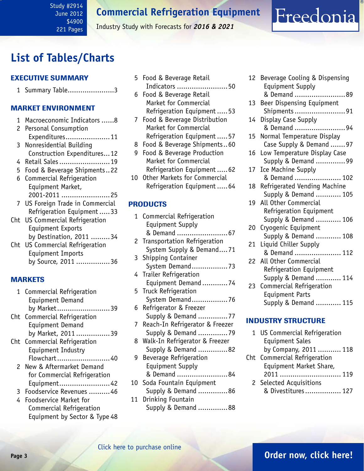<span id="page-2-0"></span>Study #2914 June 2012 \$4900 221 Pages

**Commercial Refrigeration Equipment**

Industry Study with Forecasts for *2016 & 2021*

## **List of Tables/Charts**

### Executive Summary

1 Summary Table......................3

## Market EnvironmenT

- 1 Macroeconomic Indicators ......8
- 2 Personal Consumption Expenditures.....................11
- 3 Nonresidential Building Construction Expenditures...12
- 4 Retail Sales........................19
- 5 Food & Beverage Shipments..22
- 6 Commercial Refrigeration Equipment Market, 2001-2011 .......................25
- 7 US Foreign Trade in Commercial Refrigeration Equipment .....33
- Cht US Commercial Refrigeration Equipment Exports
- by Destination, 2011 .........34 Cht US Commercial Refrigeration Equipment Imports by Source, 2011 ................36

### MARKETS

- 1 Commercial Refrigeration Equipment Demand by Market.........................39 Cht Commercial Refrigeration Equipment Demand by Market, 2011 ................39 Cht Commercial Refrigeration Equipment Industry Flowchart.........................40 2 New & Aftermarket Demand for Commercial Refrigeration Equipment........................42 3 Foodservice Revenues ..........46
	- 4 Foodservice Market for Commercial Refrigeration Equipment by Sector & Type 48
- 5 Food & Beverage Retail Indicators ........................50
- 6 Food & Beverage Retail Market for Commercial Refrigeration Equipment .....53
- 7 Food & Beverage Distribution Market for Commercial Refrigeration Equipment .....57
- 8 Food & Beverage Shipments..60
- 9 Food & Beverage Production Market for Commercial Refrigeration Equipment .....62
- 10 Other Markets for Commercial Refrigeration Equipment .....64

### PRODUCTS

- 1 Commercial Refrigeration Equipment Supply & Demand ........................67 2 Transportation Refrigeration System Supply & Demand....71 3 Shipping Container System Demand.................73 4 Trailer Refrigeration Equipment Demand ............74 5 Truck Refrigeration System Demand.................76 6 Refrigerator & Freezer Supply & Demand ..............77 7 Reach-In Refrigerator & Freezer Supply & Demand ..............79 8 Walk-In Refrigerator & Freezer Supply & Demand ..............82 9 Beverage Refrigeration Equipment Supply & Demand ........................84
- 10 Soda Fountain Equipment Supply & Demand ..............86 11 Drinking Fountain
- Supply & Demand ..............88

| 12 | Beverage Cooling & Dispensing<br><b>Equipment Supply</b> |
|----|----------------------------------------------------------|
|    | & Demand<br>. 89                                         |
| 13 | Beer Dispensing Equipment                                |
|    | Shipments91                                              |
| 14 | Display Case Supply                                      |
|    | & Demand 94                                              |
| 15 | Normal Temperature Display                               |
|    | Case Supply & Demand 97                                  |
| 16 | Low Temperature Display Case                             |
|    | Supply & Demand 99                                       |
| 17 | Ice Machine Supply                                       |
|    | & Demand  102                                            |
| 18 | Refrigerated Vending Machine                             |
|    | Supply & Demand  105                                     |
| 19 | All Other Commercial                                     |
|    | Refrigeration Equipment                                  |
|    | Supply & Demand  106                                     |
| 20 | Cryogenic Equipment                                      |
|    | Supply & Demand  108                                     |
| 21 | Liquid Chiller Supply                                    |
|    | & Demand  112                                            |
| 22 | All Other Commercial                                     |
|    | Refrigeration Equipment                                  |
|    | Supply & Demand  114                                     |
| 23 | Commercial Refrigeration                                 |
|    | <b>Equipment Parts</b>                                   |
|    | Supply & Demand  115                                     |

Freedonia

### INDUSTRY STRUCTURE

| 1 US Commercial Refrigeration |  |
|-------------------------------|--|
| <b>Equipment Sales</b>        |  |
| by Company, 2011  118         |  |
| Cht Commercial Refrigeration  |  |
| Equipment Market Share,       |  |
|                               |  |
| 2 Selected Acquisitions       |  |
| & Divestitures 127            |  |

## **Page 3 [Order now, click here!](#page-6-0)**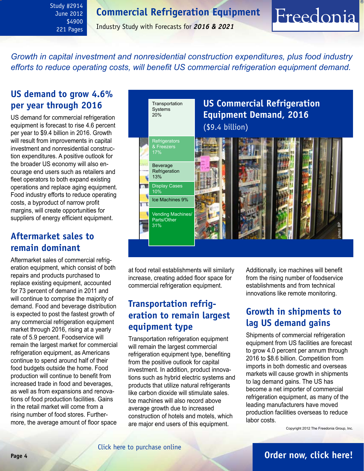## **Commercial Refrigeration Equipment**

<span id="page-3-0"></span>Study #2914 June 2012 \$4900 221 Pages

Industry Study with Forecasts for *2016 & 2021*

*Growth in capital investment and nonresidential construction expenditures, plus food industry efforts to reduce operating costs, will benefit US commercial refrigeration equipment demand.*

## **US demand to grow 4.6% per year through 2016**

US demand for commercial refrigeration equipment is forecast to rise 4.6 percent per year to \$9.4 billion in 2016. Growth will result from improvements in capital investment and nonresidential construction expenditures. A positive outlook for the broader US economy will also encourage end users such as retailers and fleet operators to both expand existing operations and replace aging equipment. Food industry efforts to reduce operating costs, a byproduct of narrow profit margins, will create opportunities for suppliers of energy efficient equipment.

## **Aftermarket sales to remain dominant**

Aftermarket sales of commercial refrigeration equipment, which consist of both repairs and products purchased to replace existing equipment, accounted for 73 percent of demand in 2011 and will continue to comprise the majority of demand. Food and beverage distribution is expected to post the fastest growth of any commercial refrigeration equipment market through 2016, rising at a yearly rate of 5.9 percent. Foodservice will remain the largest market for commercial refrigeration equipment, as Americans continue to spend around half of their food budgets outside the home. Food production will continue to benefit from increased trade in food and beverages, as well as from expansions and renovations of food production facilities. Gains in the retail market will come from a rising number of food stores. Furthermore, the average amount of floor space



at food retail establishments will similarly increase, creating added floor space for commercial refrigeration equipment.

## **Transportation refrigeration to remain largest equipment type**

Transportation refrigeration equipment will remain the largest commercial refrigeration equipment type, benefiting from the positive outlook for capital investment. In addition, product innovations such as hybrid electric systems and products that utilize natural refrigerants like carbon dioxide will stimulate sales. Ice machines will also record above average growth due to increased construction of hotels and motels, which are major end users of this equipment.

Additionally, ice machines will benefit from the rising number of foodservice establishments and from technical innovations like remote monitoring.

Freedonia

## **Growth in shipments to lag US demand gains**

Shipments of commercial refrigeration equipment from US facilities are forecast to grow 4.0 percent per annum through 2016 to \$8.6 billion. Competition from imports in both domestic and overseas markets will cause growth in shipments to lag demand gains. The US has become a net importer of commercial refrigeration equipment, as many of the leading manufacturers have moved production facilities overseas to reduce labor costs.

Copyright 2012 The Freedonia Group, Inc.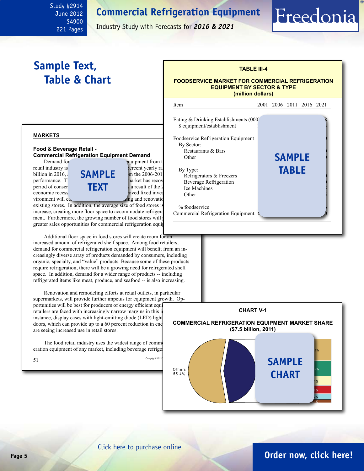## **Commercial Refrigeration Equipment**

June 2012 \$4900 221 Pages

<span id="page-4-0"></span>Study #2914

Industry Study with Forecasts for *2016 & 2021*

## **Sample Text, Table & Chart**

### **TABLE III-4 FOODSERVICE MARKET FOR COMMERCIAL REFRIGERATION EQUIPMENT BY SECTOR & TYPE (million dollars)**

Freedonia

### **markets**

#### **Food & Beverage Retail - Commercial Refrigeration Equipment Demand**



vironment will  $\cos$  support remodeling and renovation efforts of  $\sin$ 

existing stores. In addition, the average size of food stores is increase, creating more floor space to accommodate refrigeration ment. Furthermore, the growing number of food stores will greater sales opportunities for commercial refrigeration equip

Additional floor space in food stores will create room for an increased amount of refrigerated shelf space. Among food retailers, demand for commercial refrigeration equipment will benefit from an increasingly diverse array of products demanded by consumers, including organic, specialty, and "value" products. Because some of these products require refrigeration, there will be a growing need for refrigerated shelf space. In addition, demand for a wider range of products -- including refrigerated items like meat, produce, and seafood -- is also increasing.

Renovation and remodeling efforts at retail outlets, in particular supermarkets, will provide further impetus for equipment growth. Opportunities will be best for producers of energy efficient equipment. retailers are faced with increasingly narrow margins in this in instance, display cases with light-emitting diode (LED) light doors, which can provide up to a 60 percent reduction in ene are seeing increased use in retail stores.

The food retail industry uses the widest range of commercial refractions. eration equipment of any market, including beverage refrige





### [Click here to purchase online](http://www.freedoniagroup.com/DocumentDetails.aspx?Referrerid=FM-Bro&StudyID=2914)

## **Page 5 [Order now, click here!](#page-6-0)**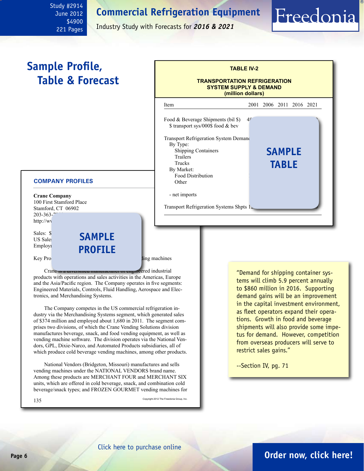## **Commercial Refrigeration Equipment**

<span id="page-5-0"></span>Study #2914 June 2012 \$4900 221 Pages

Industry Study with Forecasts for *2016 & 2021*

## **Sample Profile, Table & Forecast**

## **TABLE IV-2 TRANSPORTATION REFRIGERATION SYSTEM SUPPLY & DEMAND (million dollars)** Item 2001 2006 2011 2016 2021 Food & Beverage Shipments (bil \$)  $4<sup>5</sup>$ \$ transport sys/000\$ food & bev Transport Refrigeration System Demand By Type: Shipping Containers Trailers 694 686 694 686 681 686 694 694 695 694 695 694 695 694 695 696 697 698 698 698 698 698 698 698 698 69 Trucks<br>By Market: **TABLE** By Market: Food Distribution Other 189 209 165 200 230 - net imports Transport Refrigeration Systems Shpts 1 **sample**

### **COMPANY PROFILES**

**Crane Company** 100 First Stamford Place Stamford, CT 06902 203-363-7 http://ww

Sales: \$ US Sales Employi

## **sample profile**

Key Products: cold beverage, snack, and food vending machines

Crane is a diversified manufacturer or engineered industrial products with operations and sales activities in the Americas, Europe and the Asia/Pacific region. The Company operates in five segments: Engineered Materials, Controls, Fluid Handling, Aerospace and Electronics, and Merchandising Systems.

The Company competes in the US commercial refrigeration industry via the Merchandising Systems segment, which generated sales of \$374 million and employed about 1,680 in 2011. The segment comprises two divisions, of which the Crane Vending Solutions division manufactures beverage, snack, and food vending equipment, as well as vending machine software. The division operates via the National Vendors, GPL, Dixie-Narco, and Automated Products subsidiaries, all of which produce cold beverage vending machines, among other products.

National Vendors (Bridgeton, Missouri) manufactures and sells vending machines under the NATIONAL VENDORS brand name. Among these products are MERCHANT FOUR and MERCHANT SIX units, which are offered in cold beverage, snack, and combination cold beverage/snack types; and FROZEN GOURMET vending machines for

135 Copyright 2012 The Freedonia Group, Inc.

"Demand for shipping container systems will climb 5.9 percent annually to \$860 million in 2016. Supporting demand gains will be an improvement in the capital investment environment, as fleet operators expand their operations. Growth in food and beverage shipments will also provide some impetus for demand. However, competition from overseas producers will serve to restrict sales gains."

Freedonia

--Section IV, pg. 71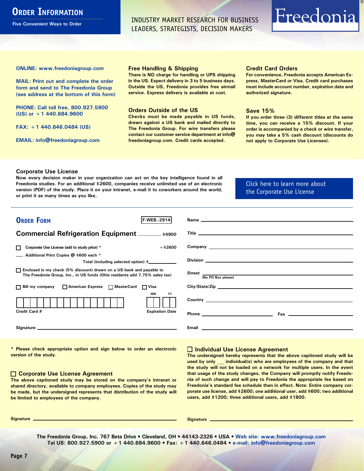## <span id="page-6-0"></span>**ORDER INFORMATION**

**Five Convenient Ways to Order**

INDUSTRY MARKET RESEARCH FOR BUSINESS LEADERS, STRATEGISTS, DECISION MAKERS

# Freedonia

**ONLINE: [www.freedoniagroup.com](http://www.freedoniagroup.com/DocumentDetails.aspx?Referrerid=FM-Bro&StudyID=2914)**

**MAIL: Print out and complete the order form and send to The Freedonia Group (see address at the bottom of this form)**

**PHONE: Call toll free, 800.927.5900 (US) or +1 440.684.9600**

**FAX: +1 440.646.0484 (US)**

**EMAIL: [info@freedoniagroup.com](mailto:info@freedoniagroup.com)**

#### **Free Handling & Shipping**

**There is NO charge for handling or UPS shipping in the US. Expect delivery in 3 to 5 business days. Outside the US, Freedonia provides free airmail service. Express delivery is available at cost.**

#### **Orders Outside of the US**

**Checks must be made payable in US funds, drawn against a US bank and mailed directly to The Freedonia Group. For wire transfers please contact our customer service department at info@ freedoniagroup.com. Credit cards accepted.**

#### **Credit Card Orders**

**For convenience, Freedonia accepts American Express, MasterCard or Visa. Credit card purchases must include account number, expiration date and authorized signature.**

#### **Save 15%**

**If you order three (3) different titles at the same time, you can receive a 15% discount. If your order is accompanied by a check or wire transfer, you may take a 5% cash discount (discounts do not apply to Corporate Use Licenses).**

#### **Corporate Use License**

**Now every decision maker in your organization can act on the key intelligence found in all Freedonia studies. For an additional \$2600, companies receive unlimited use of an electronic version (PDF) of the study. Place it on your intranet, e-mail it to coworkers around the world, or print it as many times as you like,** 

### [Click here to learn more about](http://www.freedoniagroup.com/pdf/FreedoniaCULBro.pdf)  [the Corporate Use License](http://www.freedoniagroup.com/pdf/FreedoniaCULBro.pdf)

| <b>ORDER FORM</b><br><b>F-WEB.</b> -2914                                                                                                              | Name experience and the second contract of the second contract of the second contract of the second contract of the second contract of the second contract of the second contract of the second contract of the second contrac       |
|-------------------------------------------------------------------------------------------------------------------------------------------------------|--------------------------------------------------------------------------------------------------------------------------------------------------------------------------------------------------------------------------------------|
|                                                                                                                                                       |                                                                                                                                                                                                                                      |
| <b>Commercial Refrigeration Equipment  \$4900</b>                                                                                                     |                                                                                                                                                                                                                                      |
|                                                                                                                                                       |                                                                                                                                                                                                                                      |
| Corporate Use License (add to study price) *<br>$+$ \$2600                                                                                            | Company <u>the company of the company of the company of the company of the company of the company of the company of the company of the company of the company of the company of the company of the company of the company of the</u> |
| Additional Print Copies @ \$600 each *                                                                                                                |                                                                                                                                                                                                                                      |
| Total (including selected option) \$                                                                                                                  |                                                                                                                                                                                                                                      |
| □ Enclosed is my check (5% discount) drawn on a US bank and payable to<br>The Freedonia Group, Inc., in US funds (Ohio residents add 7.75% sales tax) |                                                                                                                                                                                                                                      |
|                                                                                                                                                       | (No PO Box please)                                                                                                                                                                                                                   |
| □ Bill my company □ American Express □ MasterCard □ Visa                                                                                              | City/State/Zip                                                                                                                                                                                                                       |
| MМ<br>YY                                                                                                                                              | Country <u>example</u> and the country of the country of the country of the country of the country of the country of the country of the country of the country of the country of the country of the country of the country of the c  |
|                                                                                                                                                       |                                                                                                                                                                                                                                      |
| Credit Card #<br><b>Expiration Date</b>                                                                                                               |                                                                                                                                                                                                                                      |
|                                                                                                                                                       |                                                                                                                                                                                                                                      |
|                                                                                                                                                       |                                                                                                                                                                                                                                      |
|                                                                                                                                                       |                                                                                                                                                                                                                                      |

**\* Please check appropriate option and sign below to order an electronic version of the study.**

#### **Corporate Use License Agreement**

**The above captioned study may be stored on the company's intranet or shared directory, available to company employees. Copies of the study may be made, but the undersigned represents that distribution of the study will be limited to employees of the company.**

### **Individual Use License Agreement**

**The undersigned hereby represents that the above captioned study will be used by only \_\_\_ individual(s) who are employees of the company and that the study will not be loaded on a network for multiple users. In the event that usage of the study changes, the Company will promptly notify Freedonia of such change and will pay to Freedonia the appropriate fee based on Freedonia's standard fee schedule then in effect. Note: Entire company corporate use license, add \$2600; one additional user, add \$600; two additional users, add \$1200; three additional users, add \$1800.**

**Signature Signature**

**The Freedonia Group, Inc. 767 Beta Drive • Cleveland, OH • 44143-2326 • USA • [Web site: www.freedoniagroup.com](http://www.freedoniagroup.com/Home.aspx?ReferrerId=FM-Bro) Tel US: 800.927.5900 or +1 440.684.9600 • Fax: +1 440.646.0484 • [e-mail: info@freedoniagroup.com](mailto:info@freedoniagroup.com)**